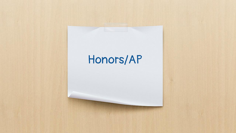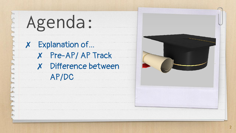

✗ Explanation of... ✗ Pre-AP/ AP Track ✗ Difference between AP/DC

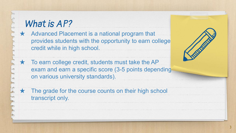### What is AP?

★ Advanced Placement is a national program that provides students with the opportunity to earn college credit while in high school.

 $\star$  To earn college credit, students must take the AP exam and earn a specific score (3-5 points depending on various university standards).



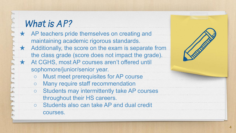# What is AP?

- ★ AP teachers pride themselves on creating and maintaining academic rigorous standards. Additionally, the score on the exam is separate from the class grade (score does not impact the grade). At CGHS, most AP courses aren't offered until sophomore/junior/senior year.
	- Must meet prerequisites for AP course
	- Many require staff recommendation
	- Students may intermittently take AP courses throughout their HS careers.
	- Students also can take AP and dual credit courses.

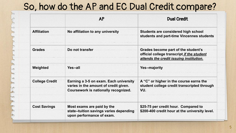# So, how do the AP and EC Dual Credit compare?

|                       | <b>AP</b>                                                                                                               | <b>Dual Credit</b>                                                                                                           |
|-----------------------|-------------------------------------------------------------------------------------------------------------------------|------------------------------------------------------------------------------------------------------------------------------|
| <b>Affiliation</b>    | No affiliation to any university                                                                                        | Students are considered high school<br>students and part-time Vincennes students                                             |
| <b>Grades</b>         | Do not transfer                                                                                                         | Grades become part of the student's<br>official college transcript if the student<br>attends the credit issuing institution. |
| Weighted              | Yes--all                                                                                                                | <b>Yes--majority</b>                                                                                                         |
| <b>College Credit</b> | Earning a 3-5 on exam. Each university<br>varies in the amount of credit given.<br>Coursework is nationally recognized. | A "C" or higher in the course earns the<br>student college credit transcripted through<br>VU.                                |
| <b>Cost Savings</b>   | Most exams are paid by the<br>state--tuition savings varies depending<br>upon performance of exam.                      | \$25-75 per credit hour. Compared to<br>\$200-400 credit hour at the university level.                                       |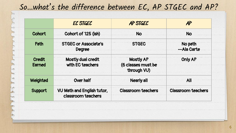#### So...what's the difference between EC, AP STGEC and AP?

|                                | <b>EC STGEC</b>                                  | AP STGEC                                              | AP                        |
|--------------------------------|--------------------------------------------------|-------------------------------------------------------|---------------------------|
| Cohort                         | Cohort of 125 (ish)                              | <b>No</b>                                             | <b>No</b>                 |
| Path                           | <b>STGEC or Associate's</b><br>Degree            | <b>STGEC</b>                                          | No path<br>--Ala Carte    |
| <b>Credit</b><br><b>Earned</b> | Mostly dual credit<br>with EC teachers           | <b>Mostly AP</b><br>(6 classes must be<br>through VU) | <b>Only AP</b>            |
| Weighted                       | Over half                                        | Nearly all                                            | <b>All</b>                |
| Support                        | VU Math and English tutor,<br>classroom teachers | <b>Classroom teachers</b>                             | <b>Classroom teachers</b> |

G